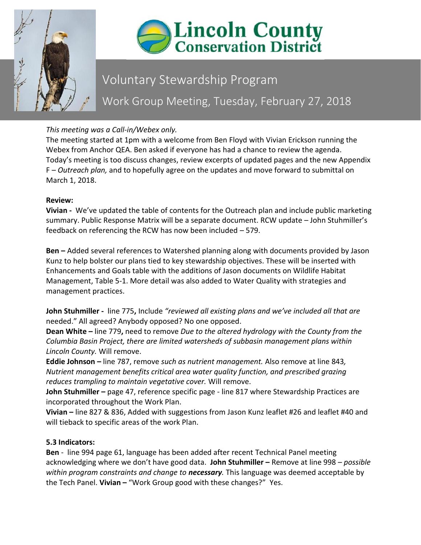



# Voluntary Stewardship Program Work Group Meeting, Tuesday, February 27, 2018

## *This meeting was a Call-in/Webex only.*

The meeting started at 1pm with a welcome from Ben Floyd with Vivian Erickson running the Webex from Anchor QEA. Ben asked if everyone has had a chance to review the agenda. Today's meeting is too discuss changes, review excerpts of updated pages and the new Appendix F – *Outreach plan,* and to hopefully agree on the updates and move forward to submittal on March 1, 2018.

## **Review:**

**Vivian -** We've updated the table of contents for the Outreach plan and include public marketing summary. Public Response Matrix will be a separate document. RCW update – John Stuhmiller's feedback on referencing the RCW has now been included – 579.

**Ben –** Added several references to Watershed planning along with documents provided by Jason Kunz to help bolster our plans tied to key stewardship objectives. These will be inserted with Enhancements and Goals table with the additions of Jason documents on Wildlife Habitat Management, Table 5-1. More detail was also added to Water Quality with strategies and management practices.

**John Stuhmiller -** line 775**,** Include *"reviewed all existing plans and we've included all that are* needed." All agreed? Anybody opposed? No one opposed.

**Dean White –** line 779**,** need to remove *Due to the altered hydrology with the County from the Columbia Basin Project, there are limited watersheds of subbasin management plans within Lincoln County.* Will remove.

**Eddie Johnson –** line 787, remove *such as nutrient management.* Also remove at line 843*, Nutrient management benefits critical area water quality function, and prescribed grazing reduces trampling to maintain vegetative cover.* Will remove.

**John Stuhmiller –** page 47, reference specific page - line 817 where Stewardship Practices are incorporated throughout the Work Plan.

**Vivian –** line 827 & 836, Added with suggestions from Jason Kunz leaflet #26 and leaflet #40 and will tieback to specific areas of the work Plan.

## **5.3 Indicators:**

**Ben** - line 994 page 61, language has been added after recent Technical Panel meeting acknowledging where we don't have good data. **John Stuhmiller –** Remove at line 998 – *possible within program constraints and change to necessary.* This language was deemed acceptable by the Tech Panel. **Vivian –** "Work Group good with these changes?" Yes.